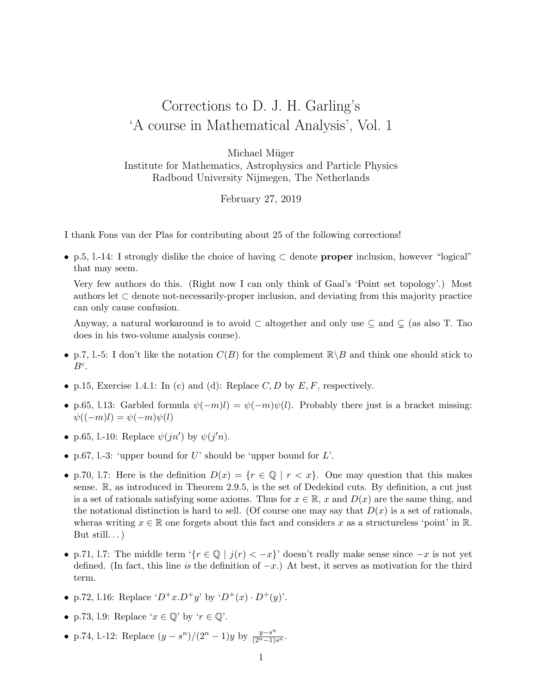## Corrections to D. J. H. Garling's 'A course in Mathematical Analysis', Vol. 1

Michael Müger Institute for Mathematics, Astrophysics and Particle Physics Radboud University Nijmegen, The Netherlands

February 27, 2019

I thank Fons van der Plas for contributing about 25 of the following corrections!

• p.5, l.-14: I strongly dislike the choice of having ⊂ denote proper inclusion, however "logical" that may seem.

Very few authors do this. (Right now I can only think of Gaal's 'Point set topology'.) Most authors let  $\subset$  denote not-necessarily-proper inclusion, and deviating from this majority practice can only cause confusion.

Anyway, a natural workaround is to avoid  $\subset$  altogether and only use  $\subseteq$  and  $\subsetneq$  (as also T. Tao does in his two-volume analysis course).

- p.7, l.-5: I don't like the notation  $C(B)$  for the complement  $\mathbb{R}\backslash B$  and think one should stick to  $B^c$ .
- p.15, Exercise 1.4.1: In (c) and (d): Replace  $C, D$  by  $E, F$ , respectively.
- p.65, l.13: Garbled formula  $\psi(-m)l = \psi(-m)\psi(l)$ . Probably there just is a bracket missing:  $\psi((-m)l) = \psi(-m)\psi(l)$
- p.65, l.-10: Replace  $\psi(jn')$  by  $\psi(j'n)$ .
- p.67, 1.-3: 'upper bound for  $U$ ' should be 'upper bound for  $L$ '.
- p.70, 1.7: Here is the definition  $D(x) = \{r \in \mathbb{Q} \mid r < x\}$ . One may question that this makes sense. R, as introduced in Theorem 2.9.5, is the set of Dedekind cuts. By definition, a cut just is a set of rationals satisfying some axioms. Thus for  $x \in \mathbb{R}$ , x and  $D(x)$  are the same thing, and the notational distinction is hard to sell. (Of course one may say that  $D(x)$  is a set of rationals, wheras writing  $x \in \mathbb{R}$  one forgets about this fact and considers x as a structureless 'point' in  $\mathbb{R}$ . But still... $)$
- p.71, l.7: The middle term '{ $r \in \mathbb{Q}$  |  $j(r) < -x$ }' doesn't really make sense since  $-x$  is not yet defined. (In fact, this line is the definition of  $-x$ .) At best, it serves as motivation for the third term.
- p.72, l.16: Replace  $(D^+x.D^+y'$  by  $(D^+(x) \cdot D^+(y))$ .
- p.73, l.9: Replace ' $x \in \mathbb{Q}$ ' by ' $r \in \mathbb{Q}$ '.
- p.74, l.-12: Replace  $(y s^n)/(2^n 1)y$  by  $\frac{y s^n}{(2^n 1)s^n}$ .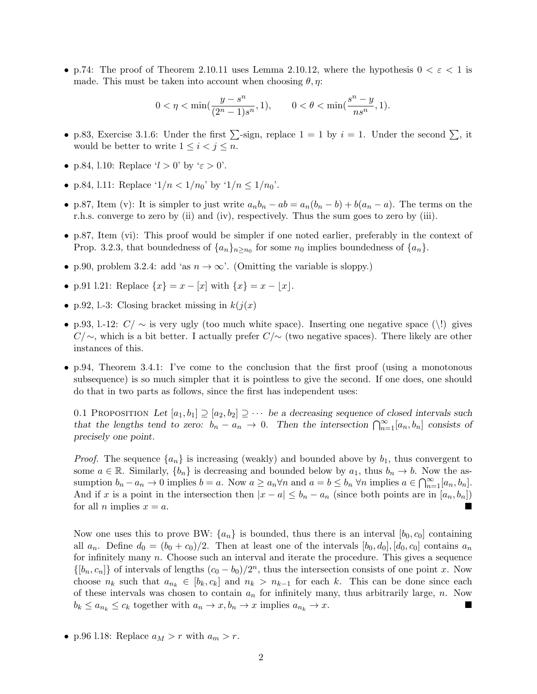• p.74: The proof of Theorem 2.10.11 uses Lemma 2.10.12, where the hypothesis  $0 < \varepsilon < 1$  is made. This must be taken into account when choosing  $\theta$ ,  $\eta$ :

$$
0<\eta<\min(\frac{y-s^n}{(2^n-1)s^n},1),\qquad 0<\theta<\min(\frac{s^n-y}{ns^n},1).
$$

- p.83, Exercise 3.1.6: Under the first  $\sum$ -sign, replace  $1 = 1$  by  $i = 1$ . Under the second  $\sum$ , it would be better to write  $1 \leq i < j \leq n$ .
- p.84, l.10: Replace ' $l > 0$ ' by ' $\varepsilon > 0$ '.
- p.84, l.11: Replace ' $1/n < 1/n_0$ ' by ' $1/n \le 1/n_0$ '.
- p.87, Item (v): It is simpler to just write  $a_n b_n ab = a_n(b_n b) + b(a_n a)$ . The terms on the r.h.s. converge to zero by (ii) and (iv), respectively. Thus the sum goes to zero by (iii).
- p.87, Item (vi): This proof would be simpler if one noted earlier, preferably in the context of Prop. 3.2.3, that boundedness of  $\{a_n\}_{n\geq n_0}$  for some  $n_0$  implies boundedness of  $\{a_n\}$ .
- p.90, problem 3.2.4: add 'as  $n \to \infty$ '. (Omitting the variable is sloppy.)
- p.91 l.21: Replace  $\{x\} = x [x]$  with  $\{x\} = x [x]$ .
- p.92, 1.-3: Closing bracket missing in  $k(j(x))$
- p.93, l.-12:  $C/\sim$  is very ugly (too much white space). Inserting one negative space (\!) gives  $C/\sim$ , which is a bit better. I actually prefer  $C/\sim$  (two negative spaces). There likely are other instances of this.
- p.94, Theorem 3.4.1: I've come to the conclusion that the first proof (using a monotonous subsequence) is so much simpler that it is pointless to give the second. If one does, one should do that in two parts as follows, since the first has independent uses:

0.1 PROPOSITION Let  $[a_1, b_1] \supseteq [a_2, b_2] \supseteq \cdots$  be a decreasing sequence of closed intervals such that the lengths tend to zero:  $b_n - a_n \to 0$ . Then the intersection  $\bigcap_{n=1}^{\infty} [a_n, b_n]$  consists of precisely one point.

*Proof.* The sequence  $\{a_n\}$  is increasing (weakly) and bounded above by  $b_1$ , thus convergent to some  $a \in \mathbb{R}$ . Similarly,  $\{b_n\}$  is decreasing and bounded below by  $a_1$ , thus  $b_n \to b$ . Now the assumption  $b_n - a_n \to 0$  implies  $b = a$ . Now  $a \ge a_n \forall n$  and  $a = b \le b_n \forall n$  implies  $a \in \bigcap_{n=1}^{\infty} [a_n, b_n]$ . And if x is a point in the intersection then  $|x - a| \leq b_n - a_n$  (since both points are in  $[a_n, b_n]$ ) for all *n* implies  $x = a$ .

Now one uses this to prove BW:  $\{a_n\}$  is bounded, thus there is an interval  $[b_0, c_0]$  containing all  $a_n$ . Define  $d_0 = (b_0 + c_0)/2$ . Then at least one of the intervals  $[b_0, d_0], [d_0, c_0]$  contains  $a_n$ for infinitely many  $n$ . Choose such an interval and iterate the procedure. This gives a sequence  $\{[b_n, c_n]\}\$  of intervals of lengths  $(c_0 - b_0)/2^n$ , thus the intersection consists of one point x. Now choose  $n_k$  such that  $a_{n_k} \in [b_k, c_k]$  and  $n_k > n_{k-1}$  for each k. This can be done since each of these intervals was chosen to contain  $a_n$  for infinitely many, thus arbitrarily large, n. Now  $b_k \le a_{n_k} \le c_k$  together with  $a_n \to x, b_n \to x$  implies  $a_{n_k} \to x$ .

• p.96 l.18: Replace  $a_M > r$  with  $a_m > r$ .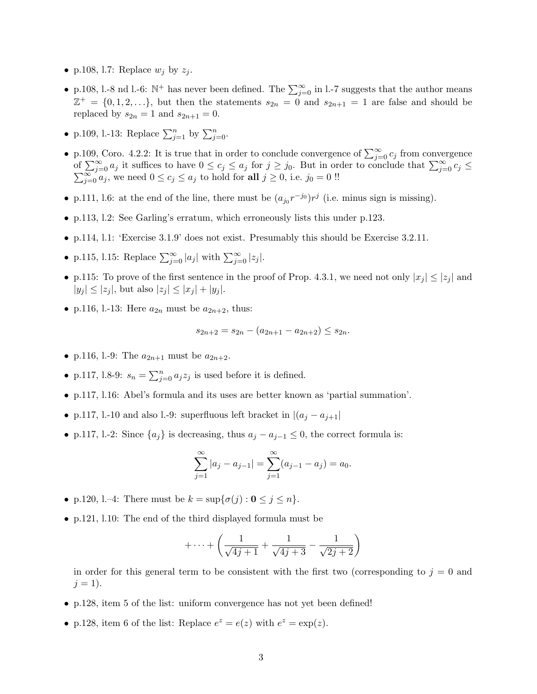- p.108, l.7: Replace  $w_j$  by  $z_j$ .
- p.108, l.-8 nd l.-6:  $\mathbb{N}^+$  has never been defined. The  $\sum_{j=0}^{\infty}$  in l.-7 suggests that the author means  $\mathbb{Z}^+ = \{0, 1, 2, \ldots\}$ , but then the statements  $s_{2n} = 0$  and  $s_{2n+1} = 1$  are false and should be replaced by  $s_{2n} = 1$  and  $s_{2n+1} = 0$ .
- p.109, l.-13: Replace  $\sum_{j=1}^{n}$  by  $\sum_{j=0}^{n}$ .
- p.109, Coro. 4.2.2: It is true that in order to conclude convergence of  $\sum_{j=0}^{\infty} c_j$  from convergence of  $\sum_{j=0}^{\infty} a_j$  it suffices to have  $0 \le c_j \le a_j$  for  $j \ge j_0$ . But in order to conclude that  $\sum_{j=0}^{\infty} \sum_{i=0}^{\infty} a_i$ , we need  $0 \le c_j \le a_j$  to hold for all  $j \ge 0$ , i.e.  $j_0 = 0$  !!  $\sum_{j=0}^{\infty} a_j$  it suffices to have  $0 \le c_j \le a_j$  for  $j \ge j_0$ . But in order to conclude that  $\sum_{j=0}^{\infty} c_j \le j_0$  we need  $0 \le c_j \le a_j$  to hold for all  $j \ge 0$ , i.e.  $j_0 = 0$  !!
- p.111, 1.6: at the end of the line, there must be  $(a_{j_0}r^{-j_0})r^j$  (i.e. minus sign is missing).
- p.113, l.2: See Garling's erratum, which erroneously lists this under p.123.
- p.114, l.1: 'Exercise 3.1.9' does not exist. Presumably this should be Exercise 3.2.11.
- p.115, l.15: Replace  $\sum_{j=0}^{\infty} |a_j|$  with  $\sum_{j=0}^{\infty} |z_j|$ .
- p.115: To prove of the first sentence in the proof of Prop. 4.3.1, we need not only  $|x_i| \leq |z_i|$  and  $|y_j| \leq |z_j|$ , but also  $|z_j| \leq |x_j| + |y_j|$ .
- p.116, l.-13: Here  $a_{2n}$  must be  $a_{2n+2}$ , thus:

$$
s_{2n+2} = s_{2n} - (a_{2n+1} - a_{2n+2}) \le s_{2n}.
$$

- p.116, l.-9: The  $a_{2n+1}$  must be  $a_{2n+2}$ .
- p.117, l.8-9:  $s_n = \sum_{j=0}^n a_j z_j$  is used before it is defined.
- p.117, l.16: Abel's formula and its uses are better known as 'partial summation'.
- p.117, l.-10 and also l.-9: superfluous left bracket in  $|(a_i a_{i+1}|)$
- p.117, l.-2: Since  $\{a_j\}$  is decreasing, thus  $a_j a_{j-1} \leq 0$ , the correct formula is:

$$
\sum_{j=1}^{\infty} |a_j - a_{j-1}| = \sum_{j=1}^{\infty} (a_{j-1} - a_j) = a_0.
$$

- p.120, l.-4: There must be  $k = \sup\{\sigma(j) : 0 \le j \le n\}.$
- p.121, l.10: The end of the third displayed formula must be

$$
+\cdots+\left(\frac{1}{\sqrt{4j+1}}+\frac{1}{\sqrt{4j+3}}-\frac{1}{\sqrt{2j+2}}\right)
$$

in order for this general term to be consistent with the first two (corresponding to  $j = 0$  and  $j = 1$ ).

- p.128, item 5 of the list: uniform convergence has not yet been defined!
- p.128, item 6 of the list: Replace  $e^z = e(z)$  with  $e^z = \exp(z)$ .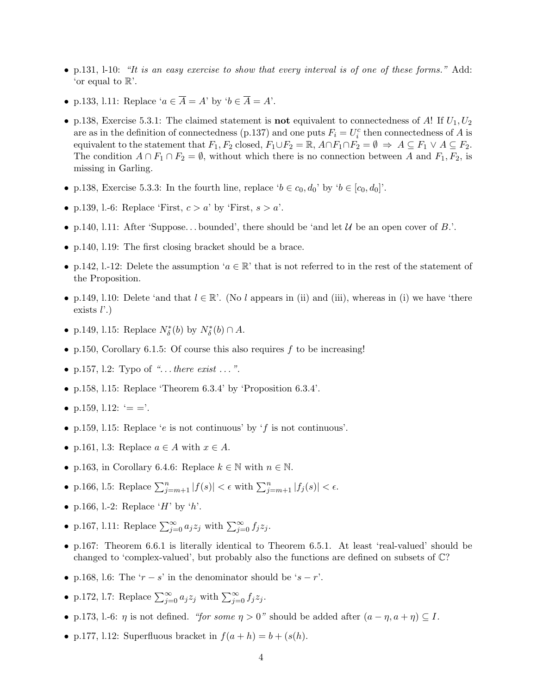- p.131, 1-10: "It is an easy exercise to show that every interval is of one of these forms." Add: 'or equal to  $\mathbb{R}$ '.
- p.133, l.11: Replace ' $a \in \overline{A} = A'$  by ' $b \in \overline{A} = A'$ .
- p.138, Exercise 5.3.1: The claimed statement is **not** equivalent to connectedness of A! If  $U_1, U_2$ are as in the definition of connectedness (p.137) and one puts  $F_i = U_i^c$  then connectedness of A is equivalent to the statement that  $F_1, F_2$  closed,  $F_1 \cup F_2 = \mathbb{R}, A \cap F_1 \cap F_2 = \emptyset \Rightarrow A \subseteq F_1 \vee A \subseteq F_2$ . The condition  $A \cap F_1 \cap F_2 = \emptyset$ , without which there is no connection between A and  $F_1, F_2$ , is missing in Garling.
- p.138, Exercise 5.3.3: In the fourth line, replace ' $b \in c_0, d_0$ ' by ' $b \in [c_0, d_0]$ '.
- p.139, l.-6: Replace 'First,  $c > a$ ' by 'First,  $s > a'$ .
- p.140, l.11: After 'Suppose... bounded', there should be 'and let  $\mathcal U$  be an open cover of B.'.
- p.140, 1.19: The first closing bracket should be a brace.
- p.142, l.-12: Delete the assumption ' $a \in \mathbb{R}$ ' that is not referred to in the rest of the statement of the Proposition.
- p.149, l.10: Delete 'and that  $l \in \mathbb{R}$ '. (No l appears in (ii) and (iii), whereas in (i) we have 'there exists  $l'$ .)
- p.149, l.15: Replace  $N^*_{\delta}(b)$  by  $N^*_{\delta}(b) \cap A$ .
- p.150, Corollary 6.1.5: Of course this also requires f to be increasing!
- p.157, 1.2: Typo of "... there exist ... ".
- p.158, l.15: Replace 'Theorem 6.3.4' by 'Proposition 6.3.4'.
- p.159, l.12:  $' = -$ .
- p.159, 1.15: Replace 'e is not continuous' by 'f is not continuous'.
- p.161, l.3: Replace  $a \in A$  with  $x \in A$ .
- p.163, in Corollary 6.4.6: Replace  $k \in \mathbb{N}$  with  $n \in \mathbb{N}$ .
- p.166, 1.5: Replace  $\sum_{j=m+1}^{n} |f(s)| < \epsilon$  with  $\sum_{j=m+1}^{n} |f_j(s)| < \epsilon$ .
- p.166, l.-2: Replace 'H' by 'h'.
- p.167, l.11: Replace  $\sum_{j=0}^{\infty} a_j z_j$  with  $\sum_{j=0}^{\infty} f_j z_j$ .
- p.167: Theorem 6.6.1 is literally identical to Theorem 6.5.1. At least 'real-valued' should be changed to 'complex-valued', but probably also the functions are defined on subsets of C?
- p.168, l.6: The ' $r s$ ' in the denominator should be ' $s r$ '.
- p.172, l.7: Replace  $\sum_{j=0}^{\infty} a_j z_j$  with  $\sum_{j=0}^{\infty} f_j z_j$ .
- p.173, l.-6:  $\eta$  is not defined. "for some  $\eta > 0$ " should be added after  $(a \eta, a + \eta) \subseteq I$ .
- p.177, 1.12: Superfluous bracket in  $f(a+h) = b + (s(h))$ .